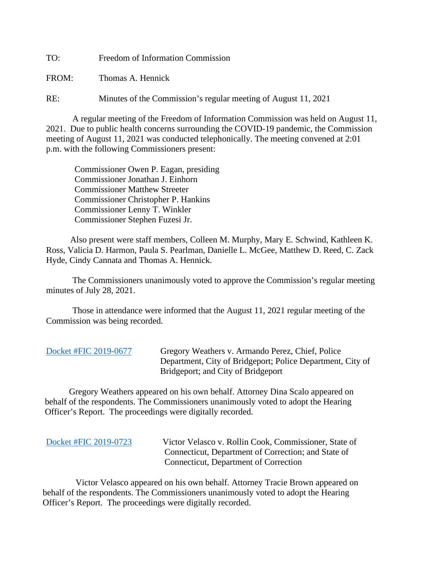TO: Freedom of Information Commission

FROM: Thomas A. Hennick

RE: Minutes of the Commission's regular meeting of August 11, 2021

A regular meeting of the Freedom of Information Commission was held on August 11, 2021. Due to public health concerns surrounding the COVID-19 pandemic, the Commission meeting of August 11, 2021 was conducted telephonically. The meeting convened at 2:01 p.m. with the following Commissioners present:

 Commissioner Owen P. Eagan, presiding Commissioner Jonathan J. Einhorn Commissioner Matthew Streeter Commissioner Christopher P. Hankins Commissioner Lenny T. Winkler Commissioner Stephen Fuzesi Jr.

 Also present were staff members, Colleen M. Murphy, Mary E. Schwind, Kathleen K. Ross, Valicia D. Harmon, Paula S. Pearlman, Danielle L. McGee, Matthew D. Reed, C. Zack Hyde, Cindy Cannata and Thomas A. Hennick.

The Commissioners unanimously voted to approve the Commission's regular meeting minutes of July 28, 2021.

 Those in attendance were informed that the August 11, 2021 regular meeting of the Commission was being recorded.

[Docket #FIC 2019-0677](https://portal.ct.gov/-/media/FOI/FinalDecisions/2021/Aug11/2019-0677.pdf) Gregory Weathers v. Armando Perez, Chief, Police Department, City of Bridgeport; Police Department, City of Bridgeport; and City of Bridgeport

 Gregory Weathers appeared on his own behalf. Attorney Dina Scalo appeared on behalf of the respondents. The Commissioners unanimously voted to adopt the Hearing Officer's Report. The proceedings were digitally recorded.

| Docket #FIC 2019-0723 |  |  |
|-----------------------|--|--|
|                       |  |  |

Victor Velasco v. Rollin Cook, Commissioner, State of Connecticut, Department of Correction; and State of Connecticut, Department of Correction

 Victor Velasco appeared on his own behalf. Attorney Tracie Brown appeared on behalf of the respondents. The Commissioners unanimously voted to adopt the Hearing Officer's Report. The proceedings were digitally recorded.